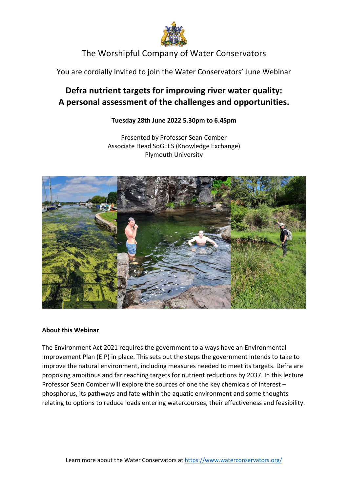

# The Worshipful Company of Water Conservators

You are cordially invited to join the Water Conservators' June Webinar

# Defra nutrient targets for improving river water quality: A personal assessment of the challenges and opportunities.

### Tuesday 28th June 2022 5.30pm to 6.45pm

Presented by Professor Sean Comber Associate Head SoGEES (Knowledge Exchange) Plymouth University



### About this Webinar

The Environment Act 2021 requires the government to always have an Environmental Improvement Plan (EIP) in place. This sets out the steps the government intends to take to improve the natural environment, including measures needed to meet its targets. Defra are proposing ambitious and far reaching targets for nutrient reductions by 2037. In this lecture Professor Sean Comber will explore the sources of one the key chemicals of interest – phosphorus, its pathways and fate within the aquatic environment and some thoughts relating to options to reduce loads entering watercourses, their effectiveness and feasibility.